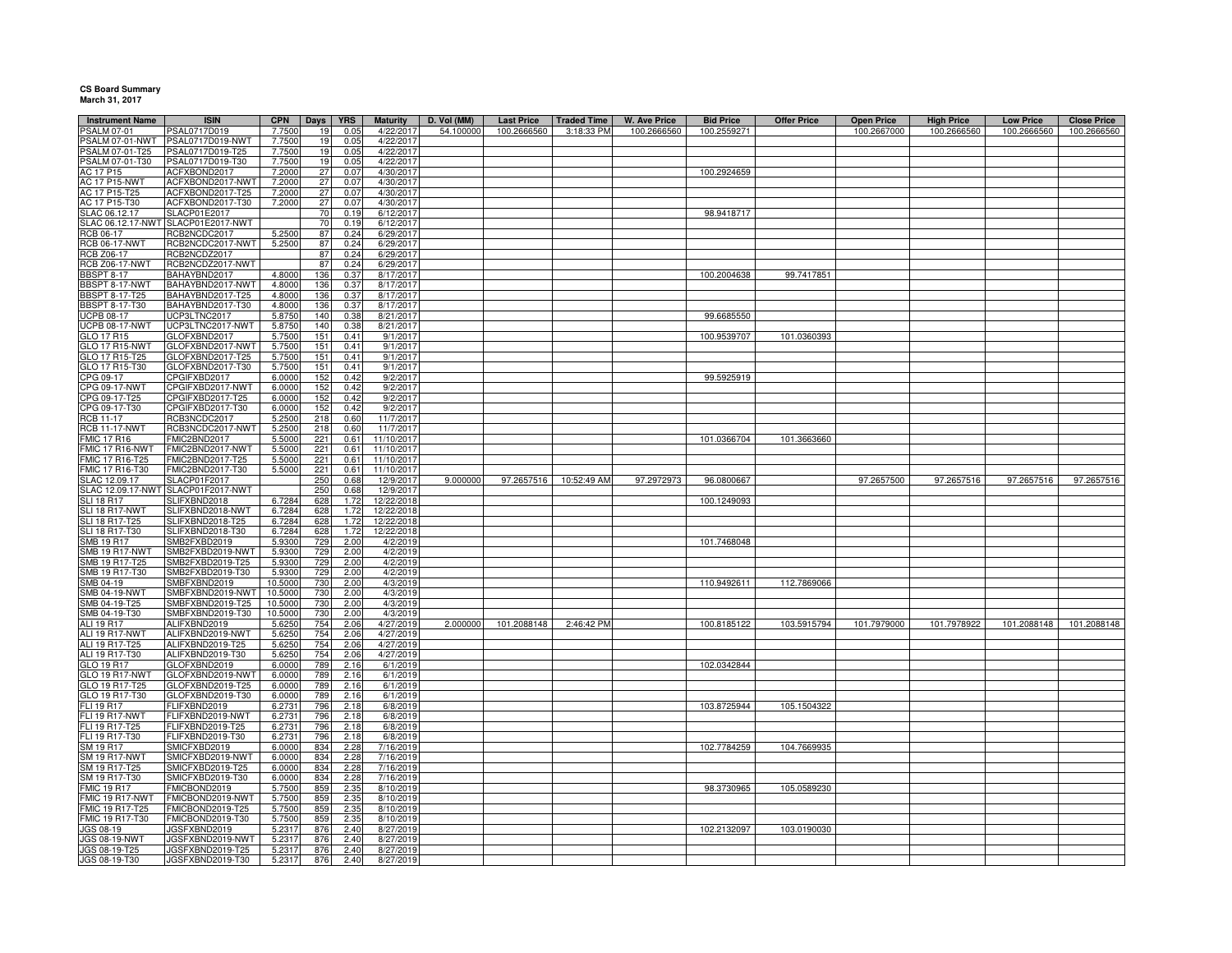## **CS Board Summary March 31, 2017**

| <b>Instrument Name</b><br><b>PSALM 07-01</b> | <b>ISIN</b>                          | <b>CPN</b><br>7.7500 | Days       | <b>YRS</b><br>0.05 | <b>Maturity</b>        | D. Vol (MM)<br>54.100000 | <b>Last Price</b><br>100.2666560 | <b>Traded Time</b>     | <b>W. Ave Price</b><br>100.2666560 | <b>Bid Price</b> | <b>Offer Price</b> | <b>Open Price</b> | <b>High Price</b> | <b>Low Price</b> | <b>Close Price</b> |
|----------------------------------------------|--------------------------------------|----------------------|------------|--------------------|------------------------|--------------------------|----------------------------------|------------------------|------------------------------------|------------------|--------------------|-------------------|-------------------|------------------|--------------------|
| SALM 07-01-NWT                               | PSAL0717D019<br>PSAL0717D019-NWT     | 7.7500               | 19<br>19   | 0.05               | 4/22/201<br>4/22/201   |                          |                                  | 3:18:33 PM             |                                    | 100.2559271      |                    | 100.2667000       | 100.2666560       | 100.2666560      | 100.2666560        |
| PSALM 07-01-T25                              | PSAL0717D019-T25                     | 7.7500               | 19         | 0.05               | 4/22/201               |                          |                                  |                        |                                    |                  |                    |                   |                   |                  |                    |
| PSALM 07-01-T30                              | PSAL0717D019-T30                     | 7.7500               | 19         | 0.05               | 4/22/201               |                          |                                  |                        |                                    |                  |                    |                   |                   |                  |                    |
| AC 17 P15                                    | ACFXBOND2017                         | 7.2000               | 27         | 0.07               | 4/30/201               |                          |                                  |                        |                                    | 100.2924659      |                    |                   |                   |                  |                    |
| <b>AC 17 P15-NWT</b>                         | ACFXBOND2017-NWT                     | 7.2000               | 27         | 0.07               | 4/30/2017              |                          |                                  |                        |                                    |                  |                    |                   |                   |                  |                    |
| AC 17 P15-T25                                | ACFXBOND2017-T25                     | 7.2000               | 27         | 0.07               | 4/30/2017              |                          |                                  |                        |                                    |                  |                    |                   |                   |                  |                    |
| AC 17 P15-T30                                | ACFXBOND2017-T30                     | 7,2000               | 27         | 0.07               | 4/30/2017              |                          |                                  |                        |                                    |                  |                    |                   |                   |                  |                    |
| SLAC 06.12.17                                | SLACP01E2017                         |                      | 70         | 0.19               | 6/12/2017              |                          |                                  |                        |                                    | 98.9418717       |                    |                   |                   |                  |                    |
|                                              | SLAC 06.12.17-NWT SLACP01E2017-NWT   |                      | 70         | 0.19               | 6/12/2017              |                          |                                  |                        |                                    |                  |                    |                   |                   |                  |                    |
| RCB 06-17                                    | RCB2NCDC2017                         | 5.2500               | 87         | 0.24               | 6/29/2017              |                          |                                  |                        |                                    |                  |                    |                   |                   |                  |                    |
| <b>RCB 06-17-NWT</b>                         | RCB2NCDC2017-NWT                     | 5.2500               | 87         | 0.24               | 6/29/2017              |                          |                                  |                        |                                    |                  |                    |                   |                   |                  |                    |
| <b>RCB Z06-17</b>                            | RCB2NCDZ2017                         |                      | 87         | 0.24               | 6/29/2017              |                          |                                  |                        |                                    |                  |                    |                   |                   |                  |                    |
| <b>RCB Z06-17-NWT</b>                        | RCB2NCDZ2017-NWT                     |                      | 87         | 0.24               | 6/29/2017              |                          |                                  |                        |                                    |                  |                    |                   |                   |                  |                    |
| <b>BBSPT 8-17</b><br>BBSPT 8-17-NWT          | BAHAYBND2017<br>BAHAYBND2017-NWT     | 4.8000<br>4.8000     | 136<br>136 | 0.37<br>0.37       | 8/17/2017<br>8/17/2017 |                          |                                  |                        |                                    | 100.2004638      | 99.7417851         |                   |                   |                  |                    |
| BBSPT 8-17-T25                               | BAHAYBND2017-T25                     | 4.8000               | 136        | 0.37               | 8/17/2017              |                          |                                  |                        |                                    |                  |                    |                   |                   |                  |                    |
| <b>BBSPT 8-17-T30</b>                        | BAHAYBND2017-T30                     | 4.8000               | 136        | 0.37               | 8/17/2017              |                          |                                  |                        |                                    |                  |                    |                   |                   |                  |                    |
| <b>UCPB 08-17</b>                            | UCP3LTNC2017                         | 5.8750               | 140        | 0.38               | 8/21/2017              |                          |                                  |                        |                                    | 99.6685550       |                    |                   |                   |                  |                    |
| <b>UCPB 08-17-NWT</b>                        | UCP3LTNC2017-NWT                     | 5.8750               | 140        | 0.38               | 8/21/2017              |                          |                                  |                        |                                    |                  |                    |                   |                   |                  |                    |
| GLO 17 R15                                   | GLOFXBND2017                         | 5.7500               | 151        | 0.41               | 9/1/201                |                          |                                  |                        |                                    | 100.9539707      | 101.0360393        |                   |                   |                  |                    |
| GLO 17 R15-NWT                               | GLOFXBND2017-NWT                     | 5.7500               | 151        | 0.41               | 9/1/201                |                          |                                  |                        |                                    |                  |                    |                   |                   |                  |                    |
| GLO 17 R15-T25                               | GLOFXBND2017-T25                     | 5.7500               | 151        | 0.41               | 9/1/201                |                          |                                  |                        |                                    |                  |                    |                   |                   |                  |                    |
| GLO 17 R15-T30                               | GLOFXBND2017-T30                     | 5.7500               | 151        | 0.41               | 9/1/201                |                          |                                  |                        |                                    |                  |                    |                   |                   |                  |                    |
| CPG 09-17                                    | CPGIFXBD2017                         | 6.0000               | 152        | 0.42               | 9/2/201                |                          |                                  |                        |                                    | 99.5925919       |                    |                   |                   |                  |                    |
| CPG 09-17-NWT                                | CPGIFXBD2017-NWT                     | 6.0000               | 152        | 0.42               | 9/2/201                |                          |                                  |                        |                                    |                  |                    |                   |                   |                  |                    |
| CPG 09-17-T25                                | CPGIFXBD2017-T25                     | 6.0000               | 152        | 0.42               | 9/2/201                |                          |                                  |                        |                                    |                  |                    |                   |                   |                  |                    |
| CPG 09-17-T30                                | CPGIFXBD2017-T30                     | 6.0000               | 152        | 0.42               | 9/2/201                |                          |                                  |                        |                                    |                  |                    |                   |                   |                  |                    |
| RCB 11-17<br><b>RCB 11-17-NWT</b>            | RCB3NCDC2017                         | 5.2500<br>5.2500     | 218<br>218 | 0.60<br>0.60       | 11/7/2017<br>11/7/2017 |                          |                                  |                        |                                    |                  |                    |                   |                   |                  |                    |
| <b>FMIC 17 R16</b>                           | RCB3NCDC2017-NWT<br>FMIC2BND2017     | 5.5000               | 221        | 0.61               | 11/10/2017             |                          |                                  |                        |                                    | 101.0366704      | 101.3663660        |                   |                   |                  |                    |
| FMIC 17 R16-NWT                              | FMIC2BND2017-NWT                     | 5.5000               | 221        | 0.61               | 11/10/201              |                          |                                  |                        |                                    |                  |                    |                   |                   |                  |                    |
| MIC 17 R16-T25                               | FMIC2BND2017-T25                     | 5.500                | 221        | 0.61               | 11/10/201              |                          |                                  |                        |                                    |                  |                    |                   |                   |                  |                    |
| MIC 17 R16-T30                               | FMIC2BND2017-T30                     | 5.5000               | 221        | 0.61               | 11/10/201              |                          |                                  |                        |                                    |                  |                    |                   |                   |                  |                    |
| SLAC 12.09.17                                | SLACP01F2017                         |                      | 250        | 0.68               | 12/9/201               | 9.000000                 |                                  | 97.2657516 10:52:49 AM | 97.2972973                         | 96.0800667       |                    | 97.2657500        | 97.2657516        | 97.2657516       | 97.2657516         |
| SLAC 12.09.17-NWT                            | SLACP01F2017-NWT                     |                      | 250        | 0.68               | 12/9/201               |                          |                                  |                        |                                    |                  |                    |                   |                   |                  |                    |
| <b>SLI 18 R17</b><br><b>SLI 18 R17-NWT</b>   | SLIFXBND2018<br>SLIFXBND2018-NWT     | 6.7284<br>6.7284     | 628<br>628 | 1.72<br>1.72       | 12/22/201<br>12/22/201 |                          |                                  |                        |                                    | 100.1249093      |                    |                   |                   |                  |                    |
| SLI 18 R17-T25                               | SLIFXBND2018-T25                     | 6.7284               | 628        | 1.72               | 12/22/201              |                          |                                  |                        |                                    |                  |                    |                   |                   |                  |                    |
| SLI 18 R17-T30                               | SLIFXBND2018-T30                     | 6.7284               | 628        | 1.72               | 12/22/2018             |                          |                                  |                        |                                    |                  |                    |                   |                   |                  |                    |
| <b>SMB 19 R17</b>                            | SMB2FXBD2019                         | 5.930                | 729        | 2.00               | 4/2/201                |                          |                                  |                        |                                    | 101.7468048      |                    |                   |                   |                  |                    |
| MB 19 R17-NWT                                | SMB2FXBD2019-NWT                     | 5.9300               | 729        | 2.00               | 4/2/201                |                          |                                  |                        |                                    |                  |                    |                   |                   |                  |                    |
| MB 19 R17-T25                                | SMB2FXBD2019-T25                     | 5.930                | 729        | 2.00               | 4/2/201                |                          |                                  |                        |                                    |                  |                    |                   |                   |                  |                    |
| MB 19 R17-T30                                | SMB2FXBD2019-T30                     | 5.930                | 729        | 2.00               | 4/2/201                |                          |                                  |                        |                                    |                  |                    |                   |                   |                  |                    |
| MB 04-19                                     | SMBFXBND2019                         | 10.5000              | 730        | 2.00               | 4/3/2019               |                          |                                  |                        |                                    | 110.9492611      | 112.7869066        |                   |                   |                  |                    |
| MB 04-19-NWT                                 | SMBFXBND2019-NWT                     | 10.5000              | 730        | 2.00               | 4/3/2019               |                          |                                  |                        |                                    |                  |                    |                   |                   |                  |                    |
| MB 04-19-T25                                 | SMBFXBND2019-T25                     | 10.5000              | 730        | 2.00               | 4/3/2019               |                          |                                  |                        |                                    |                  |                    |                   |                   |                  |                    |
| SMB 04-19-T30<br>ALI 19 R17                  | SMBFXBND2019-T30<br>ALIFXBND2019     | 10.5000<br>5.6250    | 730<br>754 | 2.00<br>2.06       | 4/3/2019<br>4/27/2019  | 2.000000                 |                                  |                        |                                    | 100.8185122      | 103.5915794        |                   |                   |                  |                    |
| ALI 19 R17-NWT                               | ALIFXBND2019-NWT                     | 5.6250               | 754        | 2.06               | 4/27/2019              |                          | 101.2088148                      | 2:46:42 PM             |                                    |                  |                    | 101.7979000       | 101.7978922       | 101.2088148      | 101.2088148        |
| ALI 19 R17-T25                               | ALIFXBND2019-T25                     | 5.6250               | 754        | 2.06               | 4/27/2019              |                          |                                  |                        |                                    |                  |                    |                   |                   |                  |                    |
| ALI 19 R17-T30                               | ALIFXBND2019-T30                     | 5.6250               | 754        | 2.06               | 4/27/2019              |                          |                                  |                        |                                    |                  |                    |                   |                   |                  |                    |
| GLO 19 R17                                   | GLOFXBND2019                         | 6.0000               | 789        | 2.16               | 6/1/2019               |                          |                                  |                        |                                    | 102.0342844      |                    |                   |                   |                  |                    |
| GLO 19 R17-NWT                               | GLOFXBND2019-NWT                     | 6.0000               | 789        | 2.16               | 6/1/2019               |                          |                                  |                        |                                    |                  |                    |                   |                   |                  |                    |
| GLO 19 R17-T25                               | GLOFXBND2019-T25                     | 6.0000               | 789        | 2.16               | 6/1/2019               |                          |                                  |                        |                                    |                  |                    |                   |                   |                  |                    |
| GLO 19 R17-T30                               | GLOFXBND2019-T30                     | 6.0000               | 789        | 2.16               | 6/1/2019               |                          |                                  |                        |                                    |                  |                    |                   |                   |                  |                    |
| FLI 19 R17                                   | <b>LIFXBND2019</b>                   | 6.273                | 796        | 2.18               | 6/8/2019               |                          |                                  |                        |                                    | 103.8725944      | 105.1504322        |                   |                   |                  |                    |
| <b>FLI 19 R17-NWT</b>                        | FLIFXBND2019-NWT                     | 6.273                | 796        | 2.18               | 6/8/2019               |                          |                                  |                        |                                    |                  |                    |                   |                   |                  |                    |
| FLI 19 R17-T25<br>FLI 19 R17-T30             | FLIFXBND2019-T25<br>FLIFXBND2019-T30 | 6.2731<br>6.2731     | 796<br>796 | 2.18<br>2.18       | 6/8/2019<br>6/8/2019   |                          |                                  |                        |                                    |                  |                    |                   |                   |                  |                    |
| SM 19 R17                                    | SMICFXBD2019                         | 6.0000               | 834        | 2.28               | 7/16/201               |                          |                                  |                        |                                    | 102.7784259      | 104.7669935        |                   |                   |                  |                    |
| SM 19 R17-NWT                                | SMICFXBD2019-NWT                     | 6.0000               | 834        | 2.28               | 7/16/2019              |                          |                                  |                        |                                    |                  |                    |                   |                   |                  |                    |
| SM 19 R17-T25                                | SMICFXBD2019-T25                     | 6.0000               | 834        | 2.28               | 7/16/201               |                          |                                  |                        |                                    |                  |                    |                   |                   |                  |                    |
| SM 19 R17-T30                                | SMICFXBD2019-T30                     | 6.0000               | 834        | 2.28               | 7/16/201               |                          |                                  |                        |                                    |                  |                    |                   |                   |                  |                    |
| <b>FMIC 19 R17</b>                           | FMICBOND2019                         | 5.7500               | 859        | 2.35               | 8/10/2019              |                          |                                  |                        |                                    | 98.3730965       | 105.0589230        |                   |                   |                  |                    |
| FMIC 19 R17-NWT                              | FMICBOND2019-NWT                     | 5.7500               | 859        | 2.35               | 8/10/201               |                          |                                  |                        |                                    |                  |                    |                   |                   |                  |                    |
| FMIC 19 R17-T25                              | FMICBOND2019-T25                     | 5.7500               | 859        | 2.35               | 8/10/2019              |                          |                                  |                        |                                    |                  |                    |                   |                   |                  |                    |
| FMIC 19 R17-T30                              | FMICBOND2019-T30                     | 5.7500               | 859        | 2.35               | 8/10/2019              |                          |                                  |                        |                                    |                  |                    |                   |                   |                  |                    |
| <b>JGS 08-19</b><br><b>JGS 08-19-NWT</b>     | JGSFXBND2019<br>JGSFXBND2019-NWT     | 5.2317<br>5.2317     | 876<br>876 | 2.40<br>2.40       | 8/27/2019<br>8/27/2019 |                          |                                  |                        |                                    | 102.2132097      | 103.0190030        |                   |                   |                  |                    |
| JGS 08-19-T25                                | JGSFXBND2019-T25                     | 5.2317               | 876        | 2.40               | 8/27/2019              |                          |                                  |                        |                                    |                  |                    |                   |                   |                  |                    |
| JGS 08-19-T30                                | JGSFXBND2019-T30                     | 5.2317               | 876        | 2.40               | 8/27/2019              |                          |                                  |                        |                                    |                  |                    |                   |                   |                  |                    |
|                                              |                                      |                      |            |                    |                        |                          |                                  |                        |                                    |                  |                    |                   |                   |                  |                    |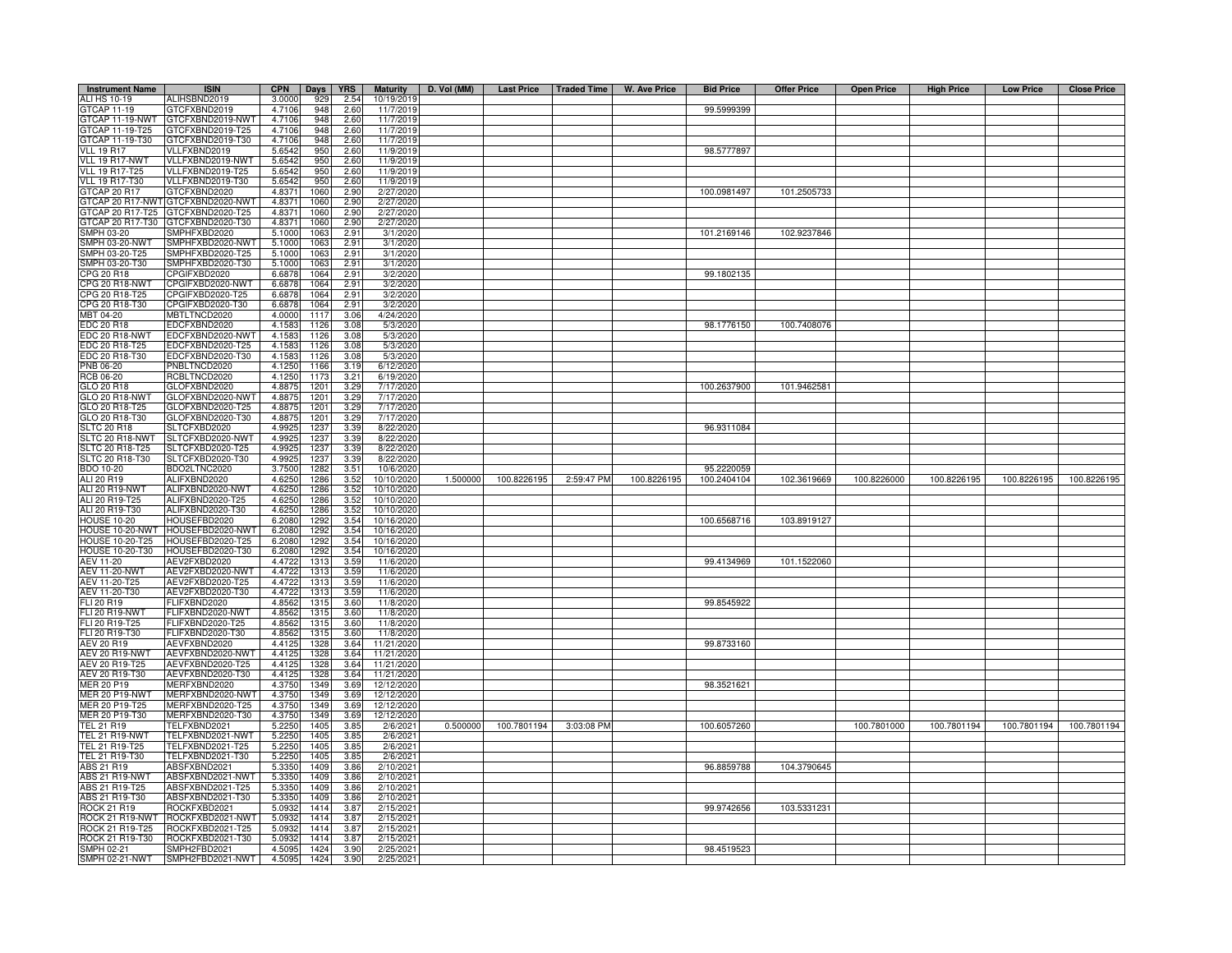| <b>Instrument Name</b>               | <b>ISIN</b>                       | <b>CPN</b>      | Days         | <b>YRS</b>    | <b>Maturity</b>        | D. Vol (MM) |             |            | Last Price   Traded Time   W. Ave Price | <b>Bid Price</b>          | <b>Offer Price</b> | <b>Open Price</b> | <b>High Price</b> | <b>Low Price</b> | <b>Close Price</b> |
|--------------------------------------|-----------------------------------|-----------------|--------------|---------------|------------------------|-------------|-------------|------------|-----------------------------------------|---------------------------|--------------------|-------------------|-------------------|------------------|--------------------|
| ALI HS 10-19                         | ALIHSBND2019                      | 3.0000          | 929          | 2.54          | 10/19/2019             |             |             |            |                                         |                           |                    |                   |                   |                  |                    |
| GTCAP 11-19                          | GTCFXBND2019                      | 4.7106          | 948          | 2.60          | 11/7/2019              |             |             |            |                                         | 99.5999399                |                    |                   |                   |                  |                    |
| GTCAP 11-19-NWT                      | GTCFXBND2019-NWT                  | 4.7106          | 948          | 2.60          | 11/7/2019              |             |             |            |                                         |                           |                    |                   |                   |                  |                    |
| GTCAP 11-19-T25                      | 3TCFXBND2019-T25                  | 4.7106          | 948          | 2.60          | 11/7/2019              |             |             |            |                                         |                           |                    |                   |                   |                  |                    |
| GTCAP 11-19-T30                      | GTCFXBND2019-T30                  | 4.7106          | 948          | 2.60          | 11/7/2019              |             |             |            |                                         |                           |                    |                   |                   |                  |                    |
| <b>VLL 19 R17</b>                    | /LLFXBND2019                      | 5.6542          | 950          | 2.60          | 11/9/2019              |             |             |            |                                         | 98.5777897                |                    |                   |                   |                  |                    |
| VLL 19 R17-NWT                       | VLLFXBND2019-NWT                  | 5.6542          | 950          | 2.60          | 11/9/2019              |             |             |            |                                         |                           |                    |                   |                   |                  |                    |
| <b>VLL 19 R17-T25</b>                | VLLFXBND2019-T25                  | 5.6542          | 950          | 2.60          | 11/9/2019              |             |             |            |                                         |                           |                    |                   |                   |                  |                    |
| <b>VLL 19 R17-T30</b>                | /LLFXBND2019-T30                  | 5.6542          | 950          | 2.60          | 11/9/2019              |             |             |            |                                         |                           |                    |                   |                   |                  |                    |
| GTCAP 20 R17                         | GTCFXBND2020                      | 4.8371          | 1060         | 2.90          | 2/27/2020              |             |             |            |                                         | 100.0981497               | 101.2505733        |                   |                   |                  |                    |
| <b>GTCAP 20 R17-NWT</b>              | GTCFXBND2020-NWT                  | 4.8371          | 1060         | 2.90          | 2/27/2020              |             |             |            |                                         |                           |                    |                   |                   |                  |                    |
| GTCAP 20 R17-T25                     | GTCFXBND2020-T25                  | 4.8371          | 1060         | 2.90          | 2/27/2020              |             |             |            |                                         |                           |                    |                   |                   |                  |                    |
|                                      | GTCAP 20 R17-T30 GTCFXBND2020-T30 | 4.8371          | 1060         | 2.90          | 2/27/2020              |             |             |            |                                         |                           |                    |                   |                   |                  |                    |
| SMPH 03-20                           | SMPHFXBD2020                      | 5.1000          | 1063         | 2.91          | 3/1/2020               |             |             |            |                                         | 101.2169146               | 102.9237846        |                   |                   |                  |                    |
| SMPH 03-20-NWT                       | SMPHFXBD2020-NWT                  | 5.1000          | 106          | 2.91          | 3/1/2020               |             |             |            |                                         |                           |                    |                   |                   |                  |                    |
| SMPH 03-20-T25                       | SMPHFXBD2020-T25                  | 5.1000          | 106          | 2.91          | 3/1/2020               |             |             |            |                                         |                           |                    |                   |                   |                  |                    |
| SMPH 03-20-T30                       | SMPHFXBD2020-T30                  | 5.1000          | 106          | 2.91          | 3/1/2020               |             |             |            |                                         |                           |                    |                   |                   |                  |                    |
| CPG 20 R18                           | PGIFXBD2020                       | 6.6878          | 1064         | $2.9 -$       | 3/2/2020               |             |             |            |                                         | 99.1802135                |                    |                   |                   |                  |                    |
| <b>CPG 20 R18-NWT</b>                | CPGIFXBD2020-NWT                  | 6.6878          | 1064         | $2.9 -$       | 3/2/2020               |             |             |            |                                         |                           |                    |                   |                   |                  |                    |
| CPG 20 R18-T25                       | CPGIFXBD2020-T25                  | 6.6878          | 1064         | 2.9           | 3/2/2020               |             |             |            |                                         |                           |                    |                   |                   |                  |                    |
| CPG 20 R18-T30                       | CPGIFXBD2020-T30                  | 6.6878          | 1064         | 2.9           | 3/2/202                |             |             |            |                                         |                           |                    |                   |                   |                  |                    |
| MBT 04-20                            | <b>MBTLTNCD2020</b>               | 4.0000          | 1117         | 3.06          | 4/24/2020              |             |             |            |                                         |                           |                    |                   |                   |                  |                    |
| EDC 20 R18                           | EDCFXBND2020                      | 4.1583          | 1126         | 3.08          | 5/3/2020               |             |             |            |                                         | 98.1776150                | 100.7408076        |                   |                   |                  |                    |
| EDC 20 R18-NWT                       | EDCFXBND2020-NWT                  | 4.1583          | 1126         | 3.08          | 5/3/2020               |             |             |            |                                         |                           |                    |                   |                   |                  |                    |
| EDC 20 R18-T25                       | EDCFXBND2020-T25                  | 4.1583          | 1126         | 3.08          | 5/3/2020               |             |             |            |                                         |                           |                    |                   |                   |                  |                    |
| EDC 20 R18-T30                       | EDCFXBND2020-T30                  | 4.1583          | 1126         | 3.08          | 5/3/2020               |             |             |            |                                         |                           |                    |                   |                   |                  |                    |
| PNB 06-20                            | PNBLTNCD2020                      | 4.1250          | 1166         | 3.19          | 6/12/2020              |             |             |            |                                         |                           |                    |                   |                   |                  |                    |
| RCB 06-20                            | RCBLTNCD2020                      | 4.1250          | 1173         | 3.21          | 6/19/2020              |             |             |            |                                         |                           |                    |                   |                   |                  |                    |
| GLO 20 R18                           | GLOFXBND2020                      | 4.8875          | 1201         | 3.29          | 7/17/2020              |             |             |            |                                         | 100.2637900               | 101.9462581        |                   |                   |                  |                    |
| GLO 20 R18-NWT                       | GLOFXBND2020-NWT                  | 4.8875          | 1201         | 3.29          | 7/17/2020              |             |             |            |                                         |                           |                    |                   |                   |                  |                    |
| GLO 20 R18-T25                       | GLOFXBND2020-T25                  | 4.8875<br>4.887 | 1201<br>1201 | 3.29          | 7/17/2020              |             |             |            |                                         |                           |                    |                   |                   |                  |                    |
| GLO 20 R18-T30<br><b>SLTC 20 R18</b> | GLOFXBND2020-T30<br>SLTCFXBD2020  | 4.9925          | 1237         | 3.29<br>3.39  | 7/17/2020<br>8/22/2020 |             |             |            |                                         | 96.9311084                |                    |                   |                   |                  |                    |
| SLTC 20 R18-NWT                      | SLTCFXBD2020-NWT                  | 4.992           | 1237         | 3.39          | 8/22/2020              |             |             |            |                                         |                           |                    |                   |                   |                  |                    |
| LTC 20 R18-T25                       | LTCFXBD2020-T25                   | 4.992           | 123          | 3.39          | 8/22/2020              |             |             |            |                                         |                           |                    |                   |                   |                  |                    |
| SLTC 20 R18-T30                      | SLTCFXBD2020-T30                  | 4.992           | 123          | 3.39          | 8/22/2020              |             |             |            |                                         |                           |                    |                   |                   |                  |                    |
| BDO 10-20                            | BDO2LTNC2020                      | 3.7500          | 1282         | $3.5^{\circ}$ | 10/6/2020              |             |             |            |                                         |                           |                    |                   |                   |                  |                    |
| ALI 20 R19                           | ALIFXBND2020                      | 4.6250          | 1286         | 3.52          | 10/10/2020             | 1.500000    | 100.8226195 | 2:59:47 PM | 100.8226195                             | 95.2220059<br>100.2404104 | 102.3619669        | 100.8226000       | 100.8226195       | 100.8226195      | 100.8226195        |
| ALI 20 R19-NWT                       | ALIFXBND2020-NWT                  | 4.6250          | 1286         | 3.52          | 10/10/2020             |             |             |            |                                         |                           |                    |                   |                   |                  |                    |
| ALI 20 R19-T25                       | ALIFXBND2020-T25                  | 4.6250          | 1286         | 3.52          | 10/10/2020             |             |             |            |                                         |                           |                    |                   |                   |                  |                    |
| ALI 20 R19-T30                       | ALIFXBND2020-T30                  | 4.6250          | 1286         | 3.52          | 10/10/2020             |             |             |            |                                         |                           |                    |                   |                   |                  |                    |
| <b>HOUSE 10-20</b>                   | HOUSEFBD2020                      | 6.2080          | 1292         | 3.54          | 10/16/2020             |             |             |            |                                         | 100.6568716               | 103.8919127        |                   |                   |                  |                    |
| HOUSE 10-20-NWT                      | HOUSEFBD2020-NWT                  | 6.2080          | 1292         | 3.54          | 10/16/2020             |             |             |            |                                         |                           |                    |                   |                   |                  |                    |
| <b>HOUSE 10-20-T25</b>               | HOUSEFBD2020-T25                  | 6.2080          | 1292         | 3.54          | 10/16/2020             |             |             |            |                                         |                           |                    |                   |                   |                  |                    |
| <b>HOUSE 10-20-T30</b>               | HOUSEFBD2020-T30                  | 6,2080          | 1292         | 3.54          | 10/16/2020             |             |             |            |                                         |                           |                    |                   |                   |                  |                    |
| AEV 11-20                            | AEV2FXBD2020                      | 4.4722          | 1313         | 3.59          | 11/6/2020              |             |             |            |                                         | 99.4134969                | 101.1522060        |                   |                   |                  |                    |
| <b>AEV 11-20-NWT</b>                 | AEV2FXBD2020-NWT                  | 4.4722          | 1313         | 3.59          | 11/6/2020              |             |             |            |                                         |                           |                    |                   |                   |                  |                    |
| AEV 11-20-T25                        | AEV2FXBD2020-T25                  | 4.4722          | 1313         | 3.59          | 11/6/2020              |             |             |            |                                         |                           |                    |                   |                   |                  |                    |
| AEV 11-20-T30                        | AEV2FXBD2020-T30                  | 4.472           | 1313         | 3.59          | 11/6/2020              |             |             |            |                                         |                           |                    |                   |                   |                  |                    |
| FLI 20 R19                           | FLIFXBND2020                      | 4.8562          | 1315         | 3.60          | 11/8/2020              |             |             |            |                                         | 99.8545922                |                    |                   |                   |                  |                    |
| <b>FLI 20 R19-NWT</b>                | FLIFXBND2020-NWT                  | 4.8562          | 1315         | 3.60          | 11/8/2020              |             |             |            |                                         |                           |                    |                   |                   |                  |                    |
| FLI 20 R19-T25                       | -LIFXBND2020-T25                  | 4.8562          | 1315         | 3.60          | 11/8/2020              |             |             |            |                                         |                           |                    |                   |                   |                  |                    |
| FLI 20 R19-T30                       | -LIFXBND2020-T30                  | 4.8562          | 1315         | 3.60          | 11/8/2020              |             |             |            |                                         |                           |                    |                   |                   |                  |                    |
| AEV 20 R19                           | AEVFXBND2020                      | 4.4125          | 1328         | 3.64          | 11/21/2020             |             |             |            |                                         | 99.8733160                |                    |                   |                   |                  |                    |
| AEV 20 R19-NWT                       | AEVFXBND2020-NWT                  | 4.4125          | 1328         | 3.64          | 11/21/2020             |             |             |            |                                         |                           |                    |                   |                   |                  |                    |
| AEV 20 R19-T25                       | AEVFXBND2020-T25                  | 4.4125          | 1328         | 3.64          | 11/21/2020             |             |             |            |                                         |                           |                    |                   |                   |                  |                    |
| AEV 20 R19-T30                       | AEVFXBND2020-T30                  | 4.4125          | 1328         | 3.64          | 11/21/2020             |             |             |            |                                         |                           |                    |                   |                   |                  |                    |
| MER 20 P19                           | MERFXBND2020                      | 4.3750          | 1349         | 3.69          | 12/12/2020             |             |             |            |                                         | 98.3521621                |                    |                   |                   |                  |                    |
| <b>MER 20 P19-NWT</b>                | MERFXBND2020-NWT                  | 4.3750          | 1349         | 3.69          | 12/12/2020             |             |             |            |                                         |                           |                    |                   |                   |                  |                    |
| MER 20 P19-T25                       | MERFXBND2020-T25                  | 4.3750          | 1349         | 3.69          | 12/12/2020             |             |             |            |                                         |                           |                    |                   |                   |                  |                    |
| MER 20 P19-T30                       | MERFXBND2020-T30                  | 4.3750          | 1349         | 3.69          | 12/12/2020             |             |             |            |                                         |                           |                    |                   |                   |                  |                    |
| <b>TEL 21 R19</b>                    | TELFXBND2021                      | 5.2250          | 1405         | 3.85          | 2/6/2021               | 0.500000    | 100.7801194 | 3:03:08 PM |                                         | 100.6057260               |                    | 100.7801000       | 100.7801194       | 100.7801194      | 100.7801194        |
| <b>TEL 21 R19-NWT</b>                | TELFXBND2021-NWT                  | 5.2250          | 1405         | 3.85          | 2/6/202                |             |             |            |                                         |                           |                    |                   |                   |                  |                    |
| TEL 21 R19-T25                       | TELFXBND2021-T25                  | 5.2250          | 1405         | 3.85          | 2/6/2021               |             |             |            |                                         |                           |                    |                   |                   |                  |                    |
| TEL 21 R19-T30                       | TELFXBND2021-T30                  | 5.2250          | 1405         | 3.85          | 2/6/2021               |             |             |            |                                         |                           |                    |                   |                   |                  |                    |
| ABS 21 R19                           | ABSFXBND2021                      | 5.3350          | 1409         | 3.86          | 2/10/2021              |             |             |            |                                         | 96.8859788                | 104.3790645        |                   |                   |                  |                    |
| ABS 21 R19-NWT                       | ABSFXBND2021-NWT                  | 5.3350          | 1409         | 3.86          | 2/10/2021              |             |             |            |                                         |                           |                    |                   |                   |                  |                    |
| ABS 21 R19-T25                       | ABSFXBND2021-T25                  | 5.3350          | 1409         | 3.86          | 2/10/2021              |             |             |            |                                         |                           |                    |                   |                   |                  |                    |
| ABS 21 R19-T30                       | ABSFXBND2021-T30                  | 5.3350          | 1409         | 3.86          | 2/10/202               |             |             |            |                                         |                           |                    |                   |                   |                  |                    |
| <b>ROCK 21 R19</b>                   | ROCKFXBD2021                      | 5.0932          | 1414         | 3.8           | 2/15/202               |             |             |            |                                         | 99.9742656                | 103.5331231        |                   |                   |                  |                    |
| ROCK 21 R19-NWT                      | ROCKFXBD2021-NWT                  | 5.0932          | 1414         | 3.8           | 2/15/202               |             |             |            |                                         |                           |                    |                   |                   |                  |                    |
| ROCK 21 R19-T25                      | ROCKFXBD2021-T25                  | 5.0932          | 1414         | 3.8           | 2/15/202               |             |             |            |                                         |                           |                    |                   |                   |                  |                    |
| ROCK 21 R19-T30                      | ROCKFXBD2021-T30                  | 5.0932          | 1414         | 3.8           | 2/15/202               |             |             |            |                                         |                           |                    |                   |                   |                  |                    |
| SMPH 02-21                           | SMPH2FBD2021                      | 4.5095          | 1424         | 3.90          | 2/25/202               |             |             |            |                                         | 98.4519523                |                    |                   |                   |                  |                    |
| SMPH 02-21-NWT                       | SMPH2FBD2021-NWT                  | 4.5095          | 1424         | 3.90          | 2/25/2021              |             |             |            |                                         |                           |                    |                   |                   |                  |                    |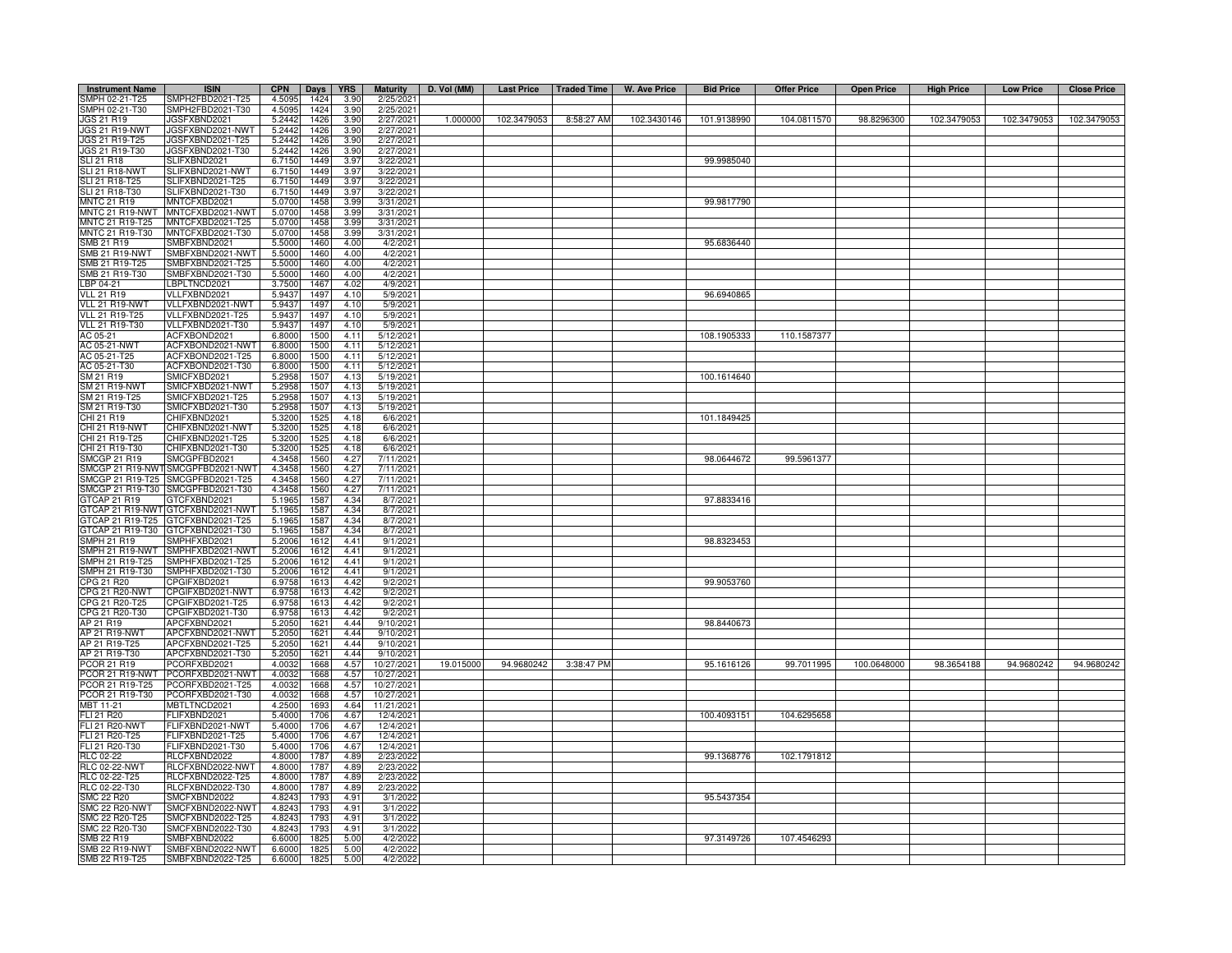| <b>Instrument Name</b>           | <b>ISIN</b>                        | <b>CPN</b>       | Days         | <b>YRS</b>    | <b>Maturity</b>       | D. Vol (MM) |             | Last Price   Traded Time | W. Ave Price | <b>Bid Price</b> | <b>Offer Price</b> | <b>Open Price</b> | <b>High Price</b> | <b>Low Price</b> | <b>Close Price</b> |
|----------------------------------|------------------------------------|------------------|--------------|---------------|-----------------------|-------------|-------------|--------------------------|--------------|------------------|--------------------|-------------------|-------------------|------------------|--------------------|
| SMPH 02-21-T25                   | MPH2FBD2021-T25                    | 4.5095           | 1424         | 3.90          | 2/25/202              |             |             |                          |              |                  |                    |                   |                   |                  |                    |
| SMPH 02-21-T30                   | SMPH2FBD2021-T30                   | 4.5095           | 1424         | 3.90          | 2/25/2021             |             |             |                          |              |                  |                    |                   |                   |                  |                    |
| <b>JGS 21 R19</b>                | JGSFXBND2021                       | 5.2442           | 1426         | 3.90          | 2/27/2021             | 1.000000    | 102.3479053 | 8:58:27 AM               | 102.3430146  | 101.9138990      | 104.0811570        | 98.8296300        | 102.3479053       | 102.3479053      | 102.3479053        |
| <b>JGS 21 R19-NWT</b>            | JGSFXBND2021-NWT                   | 5.2442           | 1426         | 3.90          | 2/27/2021             |             |             |                          |              |                  |                    |                   |                   |                  |                    |
| JGS 21 R19-T25                   | JGSFXBND2021-T25                   | 5.2442           | 1426         | 3.90          | 2/27/2021             |             |             |                          |              |                  |                    |                   |                   |                  |                    |
| JGS 21 R19-T30                   | JGSFXBND2021-T30                   | 5.2442           | 1426         | 3.90          | 2/27/2021             |             |             |                          |              |                  |                    |                   |                   |                  |                    |
| <b>SLI 21 R18</b>                | SLIFXBND2021                       | 6.7150           | 1449         | 3.97          | 3/22/2021             |             |             |                          |              | 99.9985040       |                    |                   |                   |                  |                    |
| SLI 21 R18-NWT                   | SLIFXBND2021-NWT                   | 6.7150           | 1449         | 3.97          | 3/22/2021             |             |             |                          |              |                  |                    |                   |                   |                  |                    |
| SLI 21 R18-T25                   | SLIFXBND2021-T25                   | 6.7150           | 1449         | 3.97          | 3/22/2021             |             |             |                          |              |                  |                    |                   |                   |                  |                    |
| SLI 21 R18-T30                   | SLIFXBND2021-T30                   | 6.7150           | 1449         | 3.97          | 3/22/2021             |             |             |                          |              |                  |                    |                   |                   |                  |                    |
| <b>MNTC 21 R19</b>               | MNTCFXBD2021                       | 5.0700           | 1458         | 3.99          | 3/31/202              |             |             |                          |              | 99.9817790       |                    |                   |                   |                  |                    |
| MNTC 21 R19-NWT                  | MNTCFXBD2021-NWT                   | 5.0700           | 1458         | 3.99          | 3/31/202              |             |             |                          |              |                  |                    |                   |                   |                  |                    |
| MNTC 21 R19-T25                  | MNTCFXBD2021-T25                   | 5.0700           | 1458         | 3.99          | 3/31/2021             |             |             |                          |              |                  |                    |                   |                   |                  |                    |
| MNTC 21 R19-T30                  | MNTCFXBD2021-T30                   | 5.0700           | 1458         | 3.99          | 3/31/2021             |             |             |                          |              |                  |                    |                   |                   |                  |                    |
| SMB 21 R19                       | SMBFXBND2021                       | 5.5000           | 1460         | 4.00          | 4/2/2021              |             |             |                          |              | 95.6836440       |                    |                   |                   |                  |                    |
| <b>SMB 21 R19-NWT</b>            | SMBFXBND2021-NWT                   | 5.5000           | 1460         | 4.00          | 4/2/2021              |             |             |                          |              |                  |                    |                   |                   |                  |                    |
| SMB 21 R19-T25                   | SMBFXBND2021-T25                   | 5.5000           | 1460         | 4.00          | 4/2/202               |             |             |                          |              |                  |                    |                   |                   |                  |                    |
| SMB 21 R19-T30                   | SMBFXBND2021-T30                   | 5.5000           | 1460         | 4.00          | 4/2/202               |             |             |                          |              |                  |                    |                   |                   |                  |                    |
| LBP 04-21                        | BPLTNCD2021                        | 3.7500           | 146          | 4.02          | 4/9/202               |             |             |                          |              |                  |                    |                   |                   |                  |                    |
| <b>VLL 21 R19</b>                | /LLFXBND2021                       | 5.9437           | 149          | 4.10          | 5/9/202               |             |             |                          |              | 96.6940865       |                    |                   |                   |                  |                    |
| VLL 21 R19-NWT                   | /LLFXBND2021-NWT                   | 5.9437           | 1497         | 4.10          | 5/9/202               |             |             |                          |              |                  |                    |                   |                   |                  |                    |
| <b>VLL 21 R19-T25</b>            | /LLFXBND2021-T25                   | 5.9437           | 1497         | 4.10          | 5/9/202               |             |             |                          |              |                  |                    |                   |                   |                  |                    |
| <b>VLL 21 R19-T30</b>            | VLLFXBND2021-T30                   | 5.9437           | 1497         | 4.10          | 5/9/202               |             |             |                          |              |                  |                    |                   |                   |                  |                    |
| AC 05-21                         | ACFXBOND2021                       | 6.8000           | 1500         | 4.11          | 5/12/202              |             |             |                          |              | 108.1905333      | 110.1587377        |                   |                   |                  |                    |
| AC 05-21-NWT                     | ACFXBOND2021-NWT                   | 6.8000           | 1500         | 4.11          | 5/12/202              |             |             |                          |              |                  |                    |                   |                   |                  |                    |
| AC 05-21-T25                     | ACFXBOND2021-T25                   | 6.8000           | 1500         | 4.11          | 5/12/202              |             |             |                          |              |                  |                    |                   |                   |                  |                    |
| AC 05-21-T30                     | ACFXBOND2021-T30                   | 6.8000           | 1500         | 4.11          | 5/12/202              |             |             |                          |              |                  |                    |                   |                   |                  |                    |
| SM 21 R19                        | SMICFXBD2021                       | 5.2958           | 1507         | 4.13          | 5/19/2021             |             |             |                          |              | 100.1614640      |                    |                   |                   |                  |                    |
| <b>SM 21 R19-NWT</b>             | SMICFXBD2021-NWT                   | 5.2958           | 1507         | 4.13          | 5/19/202              |             |             |                          |              |                  |                    |                   |                   |                  |                    |
| SM 21 R19-T25                    | SMICFXBD2021-T25                   | 5.2958           | 1507         | 4.13          | 5/19/2021             |             |             |                          |              |                  |                    |                   |                   |                  |                    |
| SM 21 R19-T30                    | SMICFXBD2021-T30                   | 5.2958           | 1507         | 4.13          | 5/19/2021             |             |             |                          |              |                  |                    |                   |                   |                  |                    |
| CHI 21 R19                       | CHIFXBND2021                       | 5.3200           | 152          | 4.18          | 6/6/202               |             |             |                          |              | 101.1849425      |                    |                   |                   |                  |                    |
| CHI 21 R19-NWT                   | CHIFXBND2021-NWT                   | 5.3200           | 1525         | 4.18          | 6/6/202               |             |             |                          |              |                  |                    |                   |                   |                  |                    |
| CHI 21 R19-T25                   | CHIFXBND2021-T25                   | 5.3200           | 152          | 4.18          | 6/6/202               |             |             |                          |              |                  |                    |                   |                   |                  |                    |
| CHI 21 R19-T30                   | CHIFXBND2021-T30                   | 5.3200           | 1525         | 4.18          | 6/6/202               |             |             |                          |              |                  |                    |                   |                   |                  |                    |
| SMCGP 21 R19                     | SMCGPFBD2021                       | 4.3458           | 1560         | 4.27          | 7/11/2021             |             |             |                          |              | 98.0644672       | 99.5961377         |                   |                   |                  |                    |
| SMCGP 21 R19-NWT                 | SMCGPFBD2021-NWT                   | 4.3458           | 1560         | 4.27          | 7/11/202              |             |             |                          |              |                  |                    |                   |                   |                  |                    |
| SMCGP 21 R19-T25                 | MCGPFBD2021-T25                    | 4.3458           | 1560         | 4.27          | 7/11/2021             |             |             |                          |              |                  |                    |                   |                   |                  |                    |
|                                  |                                    |                  |              |               |                       |             |             |                          |              |                  |                    |                   |                   |                  |                    |
| SMCGP 21 R19-T30<br>GTCAP 21 R19 | SMCGPFBD2021-T30<br>GTCFXBND2021   | 4.3458<br>5.1965 | 1560<br>1587 | 4.27<br>4.34  | 7/11/2021<br>8/7/2021 |             |             |                          |              | 97.8833416       |                    |                   |                   |                  |                    |
| GTCAP 21 R19-NWT                 | GTCFXBND2021-NWT                   | 5.1965           | 1587         | 4.34          | 8/7/2021              |             |             |                          |              |                  |                    |                   |                   |                  |                    |
| GTCAP 21 R19-T25                 | GTCFXBND2021-T25                   | 5.1965           | 1587         | 4.34          | 8/7/2021              |             |             |                          |              |                  |                    |                   |                   |                  |                    |
| GTCAP 21 R19-T30                 | GTCFXBND2021-T30                   | 5.1965           | 1587         | 4.34          | 8/7/2021              |             |             |                          |              |                  |                    |                   |                   |                  |                    |
| MPH 21 R19                       | MPHFXBD2021                        |                  | 161.         | 4.41          | 9/1/202               |             |             |                          |              | 98.8323453       |                    |                   |                   |                  |                    |
| MPH 21 R19-NWT                   | MPHFXBD2021-NWT                    | 5.2006<br>5.2006 | 161          | 4.41          | 9/1/202               |             |             |                          |              |                  |                    |                   |                   |                  |                    |
|                                  |                                    |                  |              | $4.4^{\circ}$ |                       |             |             |                          |              |                  |                    |                   |                   |                  |                    |
| MPH 21 R19-T25<br>MPH 21 R19-T30 | MPHFXBD2021-T25<br>MPHFXBD2021-T30 | 5.2006<br>5.2006 | 1612<br>1612 | 4.41          | 9/1/202<br>9/1/202    |             |             |                          |              |                  |                    |                   |                   |                  |                    |
| CPG 21 R20                       | CPGIFXBD2021                       | 6.9758           | 1613         | 4.42          | 9/2/202               |             |             |                          |              | 99.9053760       |                    |                   |                   |                  |                    |
|                                  |                                    |                  |              | 4.42          |                       |             |             |                          |              |                  |                    |                   |                   |                  |                    |
| CPG 21 R20-NWT                   | CPGIFXBD2021-NWT                   | 6.9758           | 161          |               | 9/2/202               |             |             |                          |              |                  |                    |                   |                   |                  |                    |
| CPG 21 R20-T25                   | CPGIFXBD2021-T25                   | 6.9758           | 1613         | 4.42          | 9/2/202               |             |             |                          |              |                  |                    |                   |                   |                  |                    |
| CPG 21 R20-T30                   | CPGIFXBD2021-T30                   | 6.9758           | 1613         | 4.42          | 9/2/202               |             |             |                          |              |                  |                    |                   |                   |                  |                    |
| AP 21 R19                        | APCFXBND2021                       | 5.2050           | 1621         | 4.44          | 9/10/2021             |             |             |                          |              | 98.8440673       |                    |                   |                   |                  |                    |
| AP 21 R19-NWT                    | APCFXBND2021-NWT                   | 5.2050           | 1621         | 4.44          | 9/10/2021             |             |             |                          |              |                  |                    |                   |                   |                  |                    |
| AP 21 R19-T25                    | APCFXBND2021-T25                   | 5.2050           | 1621         | 4.44          | 9/10/202              |             |             |                          |              |                  |                    |                   |                   |                  |                    |
| AP 21 R19-T30                    | APCFXBND2021-T30                   | 5.2050           | 1621         | 4.44          | 9/10/202              | 19.015000   | 94.9680242  |                          |              | 95.1616126       | 99.7011995         | 100.0648000       | 98.3654188        | 94.9680242       | 94.9680242         |
| PCOR 21 R19                      | CORFXBD2021                        | 4.0032           | 1668         | 4.57          | 10/27/2021            |             |             | 3:38:47 PM               |              |                  |                    |                   |                   |                  |                    |
| PCOR 21 R19-NWT                  | PCORFXBD2021-NWT                   | 4.0032           | 1668         | 4.57          | 10/27/2021            |             |             |                          |              |                  |                    |                   |                   |                  |                    |
| PCOR 21 R19-T25                  | PCORFXBD2021-T25                   | 4.0032           | 1668         | 4.57          | 10/27/2021            |             |             |                          |              |                  |                    |                   |                   |                  |                    |
| PCOR 21 R19-T30                  | PCORFXBD2021-T30                   | 4.0032           | 1668         | 4.57          | 10/27/2021            |             |             |                          |              |                  |                    |                   |                   |                  |                    |
| MBT 11-21                        | MBTLTNCD2021                       | 4.2500           | 1693         | 4.64          | 11/21/2021            |             |             |                          |              |                  |                    |                   |                   |                  |                    |
| FLI 21 R20                       | FLIFXBND2021                       | 5.4000           | 1706         | 4.67          | 12/4/2021             |             |             |                          |              | 100.4093151      | 104.6295658        |                   |                   |                  |                    |
| <b>FLI 21 R20-NWT</b>            | FLIFXBND2021-NWT                   | 5.4000           | 1706         | 4.67          | 12/4/2021             |             |             |                          |              |                  |                    |                   |                   |                  |                    |
| FLI 21 R20-T25                   | FLIFXBND2021-T25                   | 5.4000           | 1706         | 4.67          | 12/4/2021             |             |             |                          |              |                  |                    |                   |                   |                  |                    |
| FLI 21 R20-T30                   | FLIFXBND2021-T30                   | 5.4000           | 1706         | 4.67          | 12/4/2021             |             |             |                          |              |                  |                    |                   |                   |                  |                    |
| RLC 02-22                        | RLCFXBND2022                       | 4.8000           | 1787         | 4.89          | 2/23/2022             |             |             |                          |              | 99.1368776       | 102.1791812        |                   |                   |                  |                    |
| <b>RLC 02-22-NWT</b>             | RLCFXBND2022-NWT                   | 4.8000           | 1787         | 4.89          | 2/23/2022             |             |             |                          |              |                  |                    |                   |                   |                  |                    |
| RLC 02-22-T25                    | RLCFXBND2022-T25                   | 4.8000           | 1787         | 4.89          | 2/23/2022             |             |             |                          |              |                  |                    |                   |                   |                  |                    |
| RLC 02-22-T30                    | RLCFXBND2022-T30                   | 4.8000           | 1787         | 4.89          | 2/23/2022             |             |             |                          |              |                  |                    |                   |                   |                  |                    |
| <b>SMC 22 R20</b>                | SMCFXBND2022                       | 4.8243           | 1793         | 4.91          | 3/1/202               |             |             |                          |              | 95.5437354       |                    |                   |                   |                  |                    |
| SMC 22 R20-NWT                   | SMCFXBND2022-NWT                   | 4.8243           | 1793         | 4.9           | 3/1/202               |             |             |                          |              |                  |                    |                   |                   |                  |                    |
| SMC 22 R20-T25                   | MCFXBND2022-T25                    | 4.8243           | 1793         | 4.9           | 3/1/202               |             |             |                          |              |                  |                    |                   |                   |                  |                    |
| SMC 22 R20-T30                   | MCFXBND2022-T30                    | 4.8243           | 1793         | 4.9           | 3/1/202               |             |             |                          |              |                  |                    |                   |                   |                  |                    |
| SMB 22 R19                       | SMBFXBND2022                       | 6.6000           | 1825         | 5.00          | 4/2/202               |             |             |                          |              | 97.3149726       | 107.4546293        |                   |                   |                  |                    |
| <b>SMB 22 R19-NWT</b>            | SMBFXBND2022-NWT                   | 6.6000           | 1825         | 5.00          | 4/2/202               |             |             |                          |              |                  |                    |                   |                   |                  |                    |
| SMB 22 R19-T25                   | SMBFXBND2022-T25                   | 6.6000           | 1825         | 5.00          | 4/2/2022              |             |             |                          |              |                  |                    |                   |                   |                  |                    |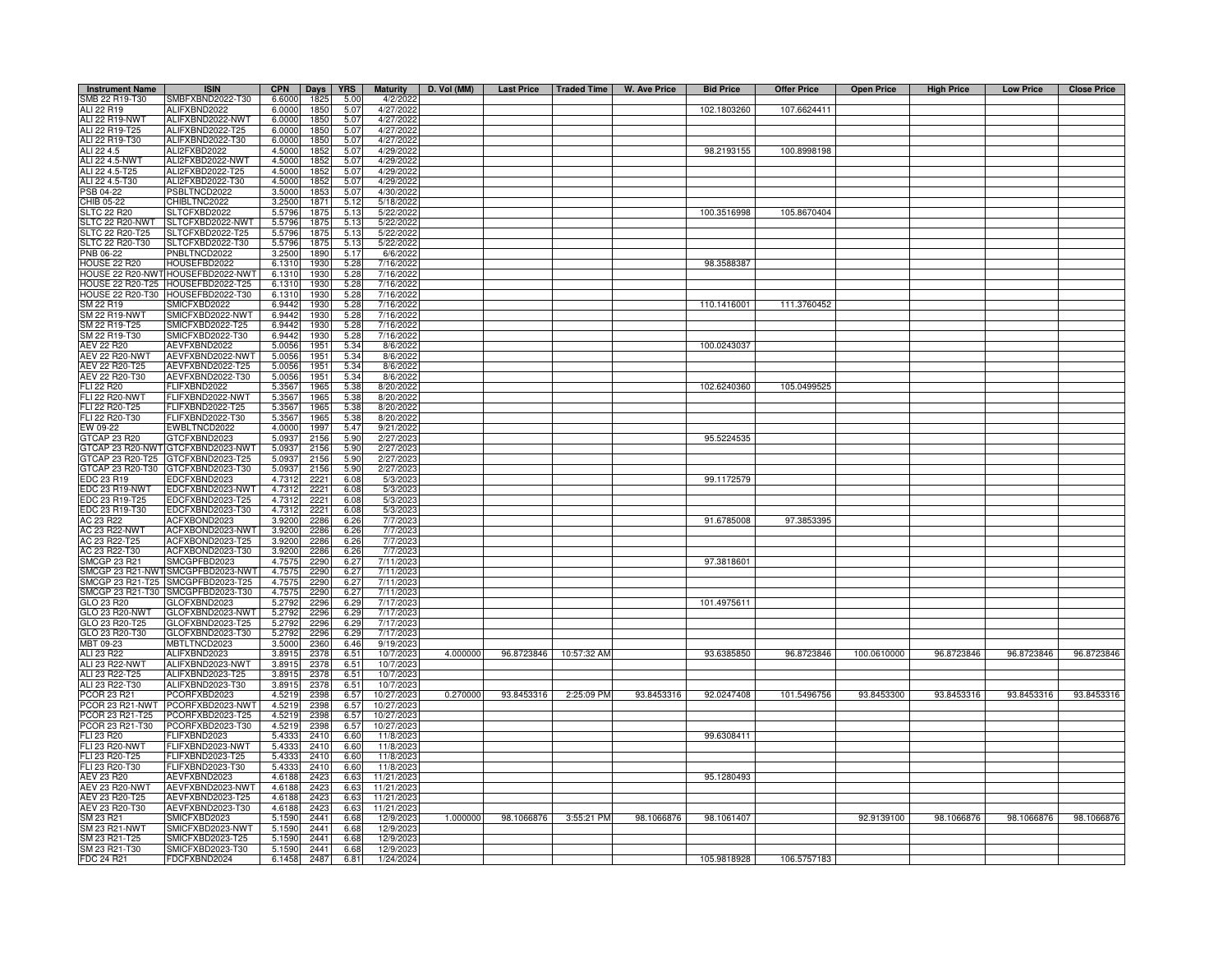| <b>Instrument Name</b>           | <b>ISIN</b>                          | <b>CPN</b>       | Days         | <b>YRS</b>   | <b>Maturity</b>          | D. Vol (MM) |            |             | Last Price   Traded Time   W. Ave Price | <b>Bid Price</b> | <b>Offer Price</b> | <b>Open Price</b> | <b>High Price</b> | <b>Low Price</b> | <b>Close Price</b> |
|----------------------------------|--------------------------------------|------------------|--------------|--------------|--------------------------|-------------|------------|-------------|-----------------------------------------|------------------|--------------------|-------------------|-------------------|------------------|--------------------|
| SMB 22 R19-T30                   | SMBFXBND2022-T30                     | 6.6000           | 1825         | 5.00         | 4/2/2022                 |             |            |             |                                         |                  |                    |                   |                   |                  |                    |
| ALI 22 R19                       | ALIFXBND2022                         | 6.0000           | 1850         | 5.07         | 4/27/2022                |             |            |             |                                         | 102.1803260      | 107.6624411        |                   |                   |                  |                    |
| ALI 22 R19-NWT                   | ALIFXBND2022-NWT                     | 6.0000           | 1850         | 5.07         | 4/27/2022                |             |            |             |                                         |                  |                    |                   |                   |                  |                    |
| ALI 22 R19-T25                   | ALIFXBND2022-T25                     | 6.0000           | 1850         | 5.07         | 4/27/2022                |             |            |             |                                         |                  |                    |                   |                   |                  |                    |
| ALI 22 R19-T30                   | ALIFXBND2022-T30                     | 6.0000           | 1850         | 5.07         | 4/27/2022                |             |            |             |                                         |                  |                    |                   |                   |                  |                    |
| ALI 22 4.5                       | ALI2FXBD2022                         | 4.5000           | 1852         | 5.07         | 4/29/2022                |             |            |             |                                         | 98.2193155       | 100.8998198        |                   |                   |                  |                    |
| <b>ALI 22 4.5-NWT</b>            | ALI2FXBD2022-NWT                     | 4.5000           | 185          | 5.07         | 4/29/2022                |             |            |             |                                         |                  |                    |                   |                   |                  |                    |
| ALI 22 4.5-T25                   | ALI2FXBD2022-T25                     | 4.5000           | 185          | 5.07         | 4/29/2022                |             |            |             |                                         |                  |                    |                   |                   |                  |                    |
| ALI 22 4.5-T30                   | ALI2FXBD2022-T30                     | 4.5000           | 185          | 5.07         | 4/29/2022                |             |            |             |                                         |                  |                    |                   |                   |                  |                    |
| PSB 04-22                        | PSBLTNCD2022                         | 3.5000           | 185          | 5.07         | 4/30/2022                |             |            |             |                                         |                  |                    |                   |                   |                  |                    |
| CHIB 05-22                       | CHIBLTNC2022                         | 3.2500           | 187          | 5.12         | 5/18/2022                |             |            |             |                                         |                  |                    |                   |                   |                  |                    |
| <b>SLTC 22 R20</b>               | SLTCFXBD2022                         | 5.5796           | 187          | 5.13         | 5/22/202                 |             |            |             |                                         | 100.3516998      | 105.8670404        |                   |                   |                  |                    |
| SLTC 22 R20-NWT                  | SLTCFXBD2022-NWT                     | 5.5796           | 1875         | 5.13         | 5/22/2022                |             |            |             |                                         |                  |                    |                   |                   |                  |                    |
| SLTC 22 R20-T25                  | SLTCFXBD2022-T25                     | 5.5796           | 187          | 5.13         | 5/22/2022                |             |            |             |                                         |                  |                    |                   |                   |                  |                    |
| SLTC 22 R20-T30                  | SLTCFXBD2022-T30                     | 5.5796           | 187          | 5.13         | 5/22/2022                |             |            |             |                                         |                  |                    |                   |                   |                  |                    |
| PNB 06-22                        | PNBLTNCD2022                         | 3.2500           | 1890         | 5.17         | 6/6/2022                 |             |            |             |                                         |                  |                    |                   |                   |                  |                    |
| <b>HOUSE 22 R20</b>              | HOUSEFBD2022                         | 6.1310           | 193          | 5.28         | 7/16/2022                |             |            |             |                                         | 98.3588387       |                    |                   |                   |                  |                    |
|                                  | HOUSE 22 R20-NWT HOUSEFBD2022-NWT    | 6.1310           | 1930         | 5.28         | 7/16/2022                |             |            |             |                                         |                  |                    |                   |                   |                  |                    |
|                                  | HOUSE 22 R20-T25 HOUSEFBD2022-T25    | 6.1310           | 1930         | 5.28         | 7/16/2022                |             |            |             |                                         |                  |                    |                   |                   |                  |                    |
|                                  | HOUSE 22 R20-T30 HOUSEFBD2022-T30    | 6.1310           | 1930         | 5.28         | 7/16/2022                |             |            |             |                                         |                  |                    |                   |                   |                  |                    |
| SM 22 R19                        | SMICFXBD2022                         | 6.9442           | 1930         | 5.28         | 7/16/2022                |             |            |             |                                         | 110.1416001      | 111.3760452        |                   |                   |                  |                    |
| <b>SM 22 R19-NWT</b>             | SMICFXBD2022-NWT                     | 6.9442           | 1930         | 5.28         | 7/16/2022                |             |            |             |                                         |                  |                    |                   |                   |                  |                    |
| SM 22 R19-T25                    | SMICFXBD2022-T25                     | 6.9442           | 1930         | 5.28         | 7/16/2022                |             |            |             |                                         |                  |                    |                   |                   |                  |                    |
| SM 22 R19-T30                    | MICFXBD2022-T30                      | 6.9442           | 1930<br>1951 | 5.28         | 7/16/202                 |             |            |             |                                         | 100.0243037      |                    |                   |                   |                  |                    |
| AEV 22 R20<br>AEV 22 R20-NWT     | AEVFXBND2022<br>AEVFXBND2022-NWT     | 5.0056           | 1951         | 5.34         | 8/6/2022                 |             |            |             |                                         |                  |                    |                   |                   |                  |                    |
| AEV 22 R20-T25                   | AEVFXBND2022-T25                     | 5.0056           | 1951         | 5.34         | 8/6/2022<br>8/6/2022     |             |            |             |                                         |                  |                    |                   |                   |                  |                    |
| AEV 22 R20-T30                   | AEVFXBND2022-T30                     | 5.0056           | 1951         | 5.34         |                          |             |            |             |                                         |                  |                    |                   |                   |                  |                    |
| <b>FLI 22 R20</b>                | FLIFXBND2022                         | 5.0056           | 196          | 5.34         | 8/6/2022<br>8/20/2022    |             |            |             |                                         | 102.6240360      | 105.0499525        |                   |                   |                  |                    |
| <b>FLI 22 R20-NWT</b>            | FLIFXBND2022-NWT                     | 5.356<br>5.3567  | 1965         | 5.38<br>5.38 | 8/20/2022                |             |            |             |                                         |                  |                    |                   |                   |                  |                    |
| FLI 22 R20-T25                   | FLIFXBND2022-T25                     | 5.3567           | 1965         | 5.38         | 8/20/2022                |             |            |             |                                         |                  |                    |                   |                   |                  |                    |
| FLI 22 R20-T30                   | FLIFXBND2022-T30                     | 5.3567           | 196          | 5.38         | 8/20/2022                |             |            |             |                                         |                  |                    |                   |                   |                  |                    |
| EW 09-22                         | <b>EWBLTNCD2022</b>                  | 4.0000           | 1997         | 5.47         | 9/21/2022                |             |            |             |                                         |                  |                    |                   |                   |                  |                    |
| GTCAP 23 R20                     | GTCFXBND2023                         | 5.0937           | 2156         | 5.90         | 2/27/2023                |             |            |             |                                         | 95.5224535       |                    |                   |                   |                  |                    |
| GTCAP 23 R20-NWT                 | GTCFXBND2023-NWT                     | 5.093            | 2156         | 5.90         | 2/27/2023                |             |            |             |                                         |                  |                    |                   |                   |                  |                    |
| GTCAP 23 R20-T25                 | GTCFXBND2023-T25                     | 5.093            | 2156         | 5.90         | 2/27/2023                |             |            |             |                                         |                  |                    |                   |                   |                  |                    |
| GTCAP 23 R20-T30                 | GTCFXBND2023-T30                     | 5.093            | 2156         | 5.90         | 2/27/202                 |             |            |             |                                         |                  |                    |                   |                   |                  |                    |
| EDC 23 R19                       | EDCFXBND2023                         | 4.7312           | 222          | 6.08         | 5/3/2023                 |             |            |             |                                         | 99.1172579       |                    |                   |                   |                  |                    |
| EDC 23 R19-NWT                   | EDCFXBND2023-NWT                     | 4.7312           | 222          | 6.08         | 5/3/2023                 |             |            |             |                                         |                  |                    |                   |                   |                  |                    |
| EDC 23 R19-T25                   | EDCFXBND2023-T25                     | 4.7312           | 222          | 6.08         | 5/3/2023                 |             |            |             |                                         |                  |                    |                   |                   |                  |                    |
| EDC 23 R19-T30                   | EDCFXBND2023-T30                     | 4.7312           | 222          | 6.08         | 5/3/2023                 |             |            |             |                                         |                  |                    |                   |                   |                  |                    |
| AC 23 R22                        | ACFXBOND2023                         | 3.9200           | 2286         | 6.26         | 7/7/2023                 |             |            |             |                                         | 91.6785008       | 97.3853395         |                   |                   |                  |                    |
| <b>AC 23 R22-NWT</b>             | ACFXBOND2023-NWT                     | 3.9200           | 2286         | 6.26         | 7/7/2023                 |             |            |             |                                         |                  |                    |                   |                   |                  |                    |
| AC 23 R22-T25                    | ACFXBOND2023-T25                     | 3.9200           | 228          | 6.26         | 7/7/2023                 |             |            |             |                                         |                  |                    |                   |                   |                  |                    |
| AC 23 R22-T30                    | ACFXBOND2023-T30                     | 3.9200           | 2286         | 6.26         | 7/7/2023                 |             |            |             |                                         |                  |                    |                   |                   |                  |                    |
| <b>SMCGP 23 R21</b>              | SMCGPFBD2023                         | 4.7575           | 2290         | 6.27         | 7/11/2023                |             |            |             |                                         | 97.3818601       |                    |                   |                   |                  |                    |
| SMCGP 23 R21-NW                  | SMCGPFBD2023-NWT                     | 4.7575           | 2290         | 6.27         | 7/11/2023                |             |            |             |                                         |                  |                    |                   |                   |                  |                    |
| SMCGP 23 R21-T25                 | MCGPFBD2023-T25                      | 4.7575           | 2290         | 6.27         | 7/11/2023                |             |            |             |                                         |                  |                    |                   |                   |                  |                    |
| SMCGP 23 R21-T30                 | SMCGPFBD2023-T30                     | 4.757            | 2290         | 6.27         | 7/11/202                 |             |            |             |                                         |                  |                    |                   |                   |                  |                    |
| GLO 23 R20                       | GLOFXBND2023                         | 5.2792           | 2296         | 6.29         | 7/17/2023                |             |            |             |                                         | 101.4975611      |                    |                   |                   |                  |                    |
| GLO 23 R20-NWT                   | GLOFXBND2023-NWT                     | 5.2792           | 2296         | 6.29         | 7/17/2023                |             |            |             |                                         |                  |                    |                   |                   |                  |                    |
| GLO 23 R20-T25                   | GLOFXBND2023-T25                     | 5.2792           | 2296         | 6.29         | 7/17/2023                |             |            |             |                                         |                  |                    |                   |                   |                  |                    |
| GLO 23 R20-T30                   | GLOFXBND2023-T30                     | 5.2792           | 2296         | 6.29         | 7/17/2023                |             |            |             |                                         |                  |                    |                   |                   |                  |                    |
| MBT 09-23                        | MBTLTNCD2023                         | 3.5000           | 2360         | 6.46         | 9/19/2023                |             |            |             |                                         |                  |                    |                   |                   |                  |                    |
| ALI 23 R22                       | ALIFXBND2023                         | 3.8915           | 2378         | 6.51         | 10/7/2023                | 4.000000    | 96.8723846 | 10:57:32 AM |                                         | 93.6385850       | 96.8723846         | 100.0610000       | 96.8723846        | 96.8723846       | 96.8723846         |
| ALI 23 R22-NWT                   | ALIFXBND2023-NWT                     | 3.8915           | 2378         | 6.51         | 10/7/2023                |             |            |             |                                         |                  |                    |                   |                   |                  |                    |
| ALI 23 R22-T25                   | ALIFXBND2023-T25                     | 3.8915           | 2378         | 6.51         | 10/7/2023                |             |            |             |                                         |                  |                    |                   |                   |                  |                    |
| ALI 23 R22-T30                   | ALIFXBND2023-T30                     | 3.8915           | 2378         | 6.51         | 10/7/2023                |             |            |             |                                         |                  |                    |                   |                   |                  |                    |
| PCOR 23 R21                      | PCORFXBD2023                         | 4.5219           | 239          | 6.57         | 10/27/2023               | 0.270000    | 93.8453316 | 2:25:09 PM  | 93.8453316                              | 92.0247408       | 101.5496756        | 93.8453300        | 93.8453316        | 93.8453316       | 93.8453316         |
| PCOR 23 R21-NWT                  | PCORFXBD2023-NWT                     | 4.5219           | 2398         | 6.57         | 10/27/2023               |             |            |             |                                         |                  |                    |                   |                   |                  |                    |
| PCOR 23 R21-T25                  | PCORFXBD2023-T25                     | 4.5219           | 2398         | 6.57         | 10/27/2023               |             |            |             |                                         |                  |                    |                   |                   |                  |                    |
| PCOR 23 R21-T30                  | PCORFXBD2023-T30                     | 4.5219           | 2398         | 6.57         | 10/27/2023               |             |            |             |                                         |                  |                    |                   |                   |                  |                    |
| FLI 23 R20                       | FLIFXBND2023                         | 5.4333           | 2410         | 6.60         | 11/8/2023                |             |            |             |                                         | 99.6308411       |                    |                   |                   |                  |                    |
| FLI 23 R20-NWT                   | FLIFXBND2023-NWT                     | 5.4333           | 2410         | 6.60         | 11/8/2023                |             |            |             |                                         |                  |                    |                   |                   |                  |                    |
| FLI 23 R20-T25                   | FLIFXBND2023-T25                     | 5.4333           | 2410         | 6.60         | 11/8/2023                |             |            |             |                                         |                  |                    |                   |                   |                  |                    |
| FLI 23 R20-T30                   | FLIFXBND2023-T30                     | 5.4333           | 2410         | 6.60         | 11/8/2023                |             |            |             |                                         |                  |                    |                   |                   |                  |                    |
| <b>AEV 23 R20</b>                | AEVFXBND2023                         | 4.6188           | 2423         | 6.63         | 11/21/2023               |             |            |             |                                         | 95.1280493       |                    |                   |                   |                  |                    |
| AEV 23 R20-NWT                   | AEVFXBND2023-NWT<br>AEVFXBND2023-T25 | 4.6188           | 2423         | 6.63<br>6.63 | 11/21/2023               |             |            |             |                                         |                  |                    |                   |                   |                  |                    |
| AEV 23 R20-T25<br>AEV 23 R20-T30 | AEVFXBND2023-T30                     | 4.6188<br>4.6188 | 242<br>242   | 6.63         | 11/21/2023<br>11/21/2023 |             |            |             |                                         |                  |                    |                   |                   |                  |                    |
| SM 23 R21                        | SMICFXBD2023                         | 5.1590           | 2441         | 6.68         | 12/9/2023                | 1.000000    | 98.1066876 | 3:55:21 PM  | 98.1066876                              | 98.1061407       |                    | 92.9139100        | 98.1066876        | 98.1066876       | 98.1066876         |
| <b>SM 23 R21-NWT</b>             | MICFXBD2023-NWT                      | 5.1590           | 2441         | 6.68         | 12/9/2023                |             |            |             |                                         |                  |                    |                   |                   |                  |                    |
| SM 23 R21-T25                    | SMICFXBD2023-T25                     | 5.1590           | 2441         | 6.68         | 12/9/2023                |             |            |             |                                         |                  |                    |                   |                   |                  |                    |
| SM 23 R21-T30                    | SMICFXBD2023-T30                     | 5.1590           | 2441         | 6.68         | 12/9/202                 |             |            |             |                                         |                  |                    |                   |                   |                  |                    |
| FDC 24 R21                       | FDCFXBND2024                         | 6.1458           | 2487         | 6.81         | 1/24/2024                |             |            |             |                                         | 105.9818928      | 106.5757183        |                   |                   |                  |                    |
|                                  |                                      |                  |              |              |                          |             |            |             |                                         |                  |                    |                   |                   |                  |                    |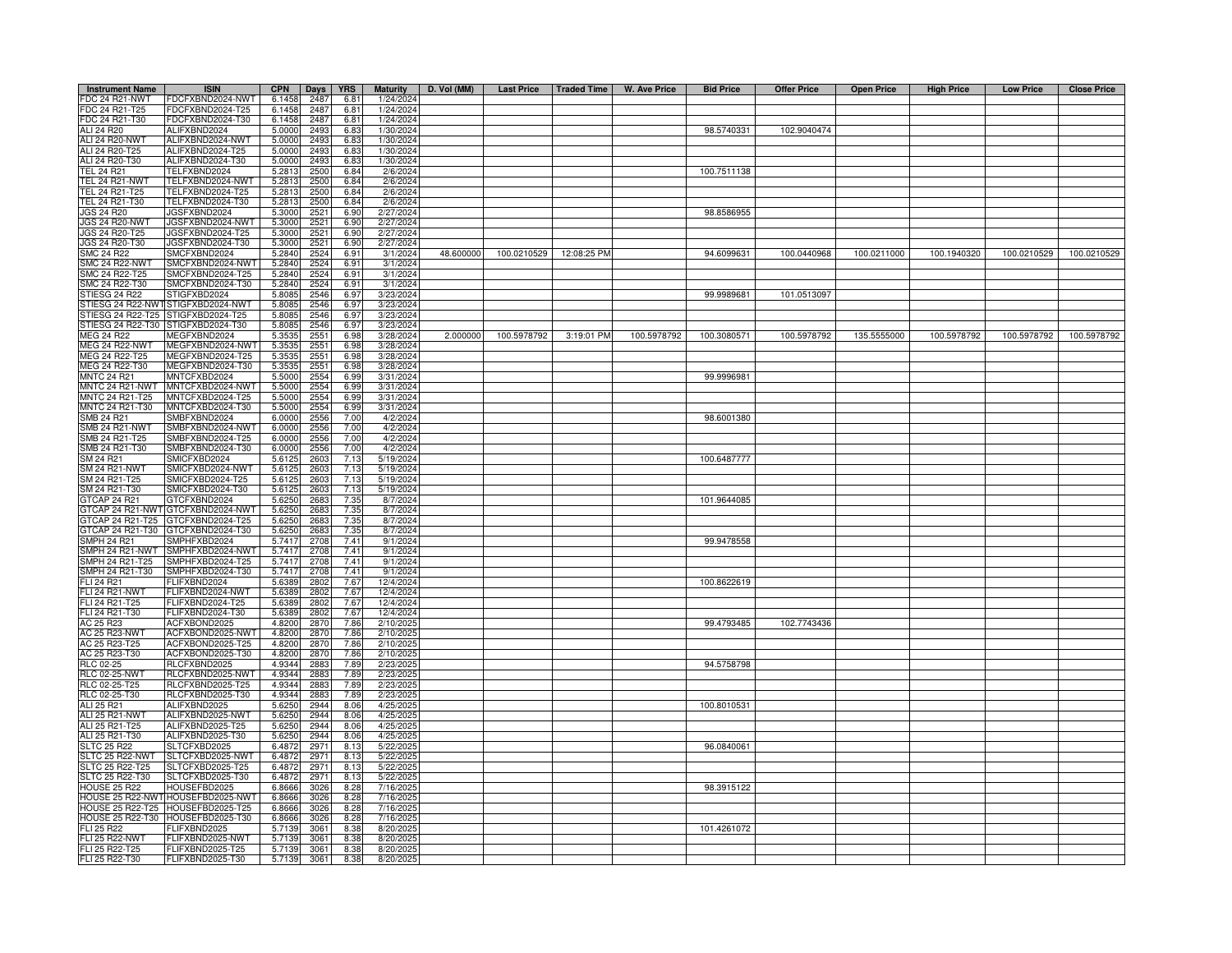| <b>Instrument Name</b>                | <b>ISIN</b>                             | <b>CPN</b>       | Days         | <b>YRS</b>   | <b>Maturity</b>        | D. Vol (MM) |             |                          | Last Price   Traded Time   W. Ave Price | <b>Bid Price</b> | <b>Offer Price</b> | <b>Open Price</b> | <b>High Price</b> | <b>Low Price</b> | <b>Close Price</b> |
|---------------------------------------|-----------------------------------------|------------------|--------------|--------------|------------------------|-------------|-------------|--------------------------|-----------------------------------------|------------------|--------------------|-------------------|-------------------|------------------|--------------------|
| <b>FDC 24 R21-NWT</b>                 | FDCFXBND2024-NWT                        | 6.1458           | 2487         | 6.81         | 1/24/2024              |             |             |                          |                                         |                  |                    |                   |                   |                  |                    |
| FDC 24 R21-T25                        | FDCFXBND2024-T25                        | 6.1458           | 2487         | 6.81         | 1/24/2024              |             |             |                          |                                         |                  |                    |                   |                   |                  |                    |
| FDC 24 R21-T30<br>ALI 24 R20          | DCFXBND2024-T30                         | 6.1458           | 2487<br>2493 | 6.81         | 1/24/2024              |             |             |                          |                                         | 98.5740331       | 102.9040474        |                   |                   |                  |                    |
| <b>ALI 24 R20-NWT</b>                 | ALIFXBND2024<br>ALIFXBND2024-NWT        | 5.0000<br>5.0000 | 2493         | 6.83<br>6.83 | 1/30/2024<br>1/30/2024 |             |             |                          |                                         |                  |                    |                   |                   |                  |                    |
| ALI 24 R20-T25                        | ALIFXBND2024-T25                        | 5.0000           | 2493         | 6.83         | 1/30/2024              |             |             |                          |                                         |                  |                    |                   |                   |                  |                    |
| ALI 24 R20-T30                        | ALIFXBND2024-T30                        | 5.0000           | 2493         | 6.83         | 1/30/2024              |             |             |                          |                                         |                  |                    |                   |                   |                  |                    |
| <b>TEL 24 R21</b>                     | TELFXBND2024                            | 5.2813           | 2500         | 6.84         | 2/6/2024               |             |             |                          |                                         | 100.7511138      |                    |                   |                   |                  |                    |
| <b>TEL 24 R21-NWT</b>                 | TELFXBND2024-NWT                        | 5.2813           | 2500         | 6.84         | 2/6/202                |             |             |                          |                                         |                  |                    |                   |                   |                  |                    |
| TEL 24 R21-T25                        | FELFXBND2024-T25                        | 5.2813           | 2500         | 6.84         | 2/6/2024               |             |             |                          |                                         |                  |                    |                   |                   |                  |                    |
| TEL 24 R21-T30                        | TELFXBND2024-T30                        | 5.2813           | 2500         | 6.84         | 2/6/2024               |             |             |                          |                                         |                  |                    |                   |                   |                  |                    |
| <b>JGS 24 R20</b><br>JGS 24 R20-NWT   | JGSFXBND2024<br>JGSFXBND2024-NWT        | 5.3000<br>5.3000 | 252<br>2521  | 6.90<br>6.90 | 2/27/2024<br>2/27/2024 |             |             |                          |                                         | 98.8586955       |                    |                   |                   |                  |                    |
| JGS 24 R20-T25                        | JGSFXBND2024-T25                        | 5.3000           | 2521         | 6.90         | 2/27/2024              |             |             |                          |                                         |                  |                    |                   |                   |                  |                    |
| JGS 24 R20-T30                        | JGSFXBND2024-T30                        | 5.3000           | 2521         | 6.90         | 2/27/2024              |             |             |                          |                                         |                  |                    |                   |                   |                  |                    |
| <b>SMC 24 R22</b>                     | SMCFXBND2024                            | 5.2840           | 2524         | 6.91         | 3/1/2024               | 48.600000   |             | 100.0210529  12:08:25 PM |                                         | 94.6099631       | 100.0440968        | 100.0211000       | 100.1940320       | 100.0210529      | 100.0210529        |
| SMC 24 R22-NWT                        | SMCFXBND2024-NWT                        | 5.2840           | 2524         | 6.91         | 3/1/202                |             |             |                          |                                         |                  |                    |                   |                   |                  |                    |
| MC 24 R22-T25                         | MCFXBND2024-T25                         | 5.2840           | 2524         | 6.91         | 3/1/2024               |             |             |                          |                                         |                  |                    |                   |                   |                  |                    |
| MC 24 R22-T30<br>STIESG 24 R22        | MCFXBND2024-T30                         | 5.2840           | 2524<br>2546 | 6.91         | 3/1/202<br>3/23/2024   |             |             |                          |                                         | 99.9989681       | 101.0513097        |                   |                   |                  |                    |
| STIESG 24 R22-NW                      | STIGFXBD2024<br>STIGFXBD2024-NWT        | 5.8085<br>5.8085 | 2546         | 6.97<br>6.97 | 3/23/202               |             |             |                          |                                         |                  |                    |                   |                   |                  |                    |
| STIESG 24 R22-T25                     | TIGFXBD2024-T25                         | 5.8085           | 2546         | 6.97         | 3/23/202               |             |             |                          |                                         |                  |                    |                   |                   |                  |                    |
| STIESG 24 R22-T30                     | STIGFXBD2024-T30                        | 5.8085           | 2546         | 6.97         | 3/23/2024              |             |             |                          |                                         |                  |                    |                   |                   |                  |                    |
| MEG 24 R22                            | MEGFXBND2024                            | 5.3535           | 2551         | 6.98         | 3/28/2024              | 2.000000    | 100.5978792 | 3:19:01 PM               | 100.5978792                             | 100.3080571      | 100.5978792        | 135.5555000       | 100.5978792       | 100.5978792      | 100.5978792        |
| <b>MEG 24 R22-NWT</b>                 | MEGFXBND2024-NWT                        | 5.3535           | 2551         | 6.98         | 3/28/2024              |             |             |                          |                                         |                  |                    |                   |                   |                  |                    |
| MEG 24 R22-T25                        | MEGFXBND2024-T25                        | 5.3535           | 2551         | 6.98         | 3/28/2024              |             |             |                          |                                         |                  |                    |                   |                   |                  |                    |
| MEG 24 R22-T30                        | MEGFXBND2024-T30                        | 5.3535           | 2551         | 6.98         | 3/28/2024              |             |             |                          |                                         |                  |                    |                   |                   |                  |                    |
| <b>MNTC 24 R21</b>                    | <b>MNTCFXBD2024</b>                     | 5.5000           | 2554         | 6.99         | 3/31/2024              |             |             |                          |                                         | 99.9996981       |                    |                   |                   |                  |                    |
| MNTC 24 R21-NWT<br>MNTC 24 R21-T25    | MNTCFXBD2024-NWT<br>MNTCFXBD2024-T25    | 5.5000<br>5.5000 | 2554<br>2554 | 6.99<br>6.99 | 3/31/202<br>3/31/2024  |             |             |                          |                                         |                  |                    |                   |                   |                  |                    |
| MNTC 24 R21-T30                       | MNTCFXBD2024-T30                        | 5.5000           | 2554         | 6.99         | 3/31/2024              |             |             |                          |                                         |                  |                    |                   |                   |                  |                    |
| SMB 24 R21                            | MBFXBND2024                             | 6.0000           | 2556         | 7.00         | 4/2/2024               |             |             |                          |                                         | 98.6001380       |                    |                   |                   |                  |                    |
| <b>SMB 24 R21-NWT</b>                 | MBFXBND2024-NWT                         | 6.0000           | 2556         | 7.00         | 4/2/2024               |             |             |                          |                                         |                  |                    |                   |                   |                  |                    |
| SMB 24 R21-T25                        | MBFXBND2024-T25                         | 6.0000           | 2556         | 7.00         | 4/2/202                |             |             |                          |                                         |                  |                    |                   |                   |                  |                    |
| SMB 24 R21-T30                        | MBFXBND2024-T30                         | 6.0000           | 2556         | 7.00         | 4/2/2024               |             |             |                          |                                         |                  |                    |                   |                   |                  |                    |
| SM 24 R21                             | <b>SMICFXBD2024</b>                     | 5.6125           | 2603         | 7.13         | 5/19/202               |             |             |                          |                                         | 100.6487777      |                    |                   |                   |                  |                    |
| SM 24 R21-NWT<br>SM 24 R21-T25        | MICFXBD2024-NWT<br>SMICFXBD2024-T25     | 5.612            | 260          | 7.13         | 5/19/202<br>5/19/2024  |             |             |                          |                                         |                  |                    |                   |                   |                  |                    |
| SM 24 R21-T30                         | SMICFXBD2024-T30                        | 5.6125<br>5.6125 | 2603<br>260  | 7.13<br>7.13 | 5/19/2024              |             |             |                          |                                         |                  |                    |                   |                   |                  |                    |
| GTCAP 24 R21                          | GTCFXBND2024                            | 5.6250           | 2683         | 7.35         | 8/7/2024               |             |             |                          |                                         | 101.9644085      |                    |                   |                   |                  |                    |
| GTCAP 24 R21-NW                       | GTCFXBND2024-NWT                        | 5.6250           | 2683         | 7.35         | 8/7/2024               |             |             |                          |                                         |                  |                    |                   |                   |                  |                    |
| GTCAP 24 R21-T25                      | GTCFXBND2024-T25                        | 5.6250           | 2683         | 7.35         | 8/7/2024               |             |             |                          |                                         |                  |                    |                   |                   |                  |                    |
| GTCAP 24 R21-T30                      | GTCFXBND2024-T30                        | 5.6250           | 268          | 7.35         | 8/7/2024               |             |             |                          |                                         |                  |                    |                   |                   |                  |                    |
| MPH 24 R21                            | MPHFXBD2024                             | 5.7417           | 2708         | 7.41         | 9/1/2024               |             |             |                          |                                         | 99.9478558       |                    |                   |                   |                  |                    |
| MPH 24 R21-NWT<br>SMPH 24 R21-T25     | MPHFXBD2024-NWT<br>SMPHFXBD2024-T25     | 5.7417<br>5.7417 | 2708<br>2708 | 7.41<br>7.41 | 9/1/2024<br>9/1/2024   |             |             |                          |                                         |                  |                    |                   |                   |                  |                    |
| SMPH 24 R21-T30                       | SMPHFXBD2024-T30                        | 5.7417           | 2708         | 7.41         | 9/1/2024               |             |             |                          |                                         |                  |                    |                   |                   |                  |                    |
| FLI 24 R21                            | <b>ELIFXBND2024</b>                     | 5.6389           | 2802         | 7.67         | 12/4/202               |             |             |                          |                                         | 100.8622619      |                    |                   |                   |                  |                    |
| <b>FLI 24 R21-NWT</b>                 | -LIFXBND2024-NWT                        | 5.6389           | 2802         | 7.67         | 12/4/202               |             |             |                          |                                         |                  |                    |                   |                   |                  |                    |
| FLI 24 R21-T25                        | -LIFXBND2024-T25                        | 5.6389           | 2802         | 7.67         | 12/4/2024              |             |             |                          |                                         |                  |                    |                   |                   |                  |                    |
| FLI 24 R21-T30                        | -LIFXBND2024-T30                        | 5.6389           | 2802         | 7.67         | 12/4/202               |             |             |                          |                                         |                  |                    |                   |                   |                  |                    |
| AC 25 R23                             | ACFXBOND2025                            | 4.8200           | 2870         | 7.86         | 2/10/202               |             |             |                          |                                         | 99.4793485       | 102.7743436        |                   |                   |                  |                    |
| AC 25 R23-NWT                         | ACFXBOND2025-NWT                        | 4.8200           | 2870         | 7.86         | 2/10/202               |             |             |                          |                                         |                  |                    |                   |                   |                  |                    |
| AC 25 R23-T25<br>AC 25 R23-T30        | ACFXBOND2025-T25<br>ACFXBOND2025-T30    | 4.8200<br>4.8200 | 2870<br>2870 | 7.86<br>7.86 | 2/10/202<br>2/10/202   |             |             |                          |                                         |                  |                    |                   |                   |                  |                    |
| RLC 02-25                             | RLCFXBND2025                            | 4.9344           | 288          | 7.89         | 2/23/202               |             |             |                          |                                         | 94.5758798       |                    |                   |                   |                  |                    |
| <b>RLC 02-25-NWT</b>                  | RLCFXBND2025-NWT                        | 4.9344           | 288          | 7.89         | 2/23/202               |             |             |                          |                                         |                  |                    |                   |                   |                  |                    |
| RLC 02-25-T25                         | RLCFXBND2025-T25                        | 4.9344           | 288          | 7.89         | 2/23/202               |             |             |                          |                                         |                  |                    |                   |                   |                  |                    |
| RLC 02-25-T30                         | RLCFXBND2025-T30                        | 4.9344           | 288          | 7.89         | 2/23/202               |             |             |                          |                                         |                  |                    |                   |                   |                  |                    |
| ALI 25 R21                            | ALIFXBND2025                            | 5.6250           | 2944         | 8.06         | 4/25/202               |             |             |                          |                                         | 100.8010531      |                    |                   |                   |                  |                    |
| <b>ALI 25 R21-NWT</b>                 | ALIFXBND2025-NWT                        | 5.6250           | 2944         | 8.06         | 4/25/202               |             |             |                          |                                         |                  |                    |                   |                   |                  |                    |
| ALI 25 R21-T25<br>ALI 25 R21-T30      | ALIFXBND2025-T25<br>ALIFXBND2025-T30    | 5.6250<br>5.6250 | 2944<br>2944 | 8.06<br>8.06 | 4/25/202<br>4/25/2025  |             |             |                          |                                         |                  |                    |                   |                   |                  |                    |
| <b>SLTC 25 R22</b>                    | SLTCFXBD2025                            | 6.4872           | 2971         | 8.13         | 5/22/2025              |             |             |                          |                                         | 96.0840061       |                    |                   |                   |                  |                    |
| SLTC 25 R22-NWT                       | SLTCFXBD2025-NWT                        | 6.4872           | 2971         | 8.13         | 5/22/2025              |             |             |                          |                                         |                  |                    |                   |                   |                  |                    |
| SLTC 25 R22-T25                       | SLTCFXBD2025-T25                        | 6.4872           | 2971         | 8.13         | 5/22/2025              |             |             |                          |                                         |                  |                    |                   |                   |                  |                    |
| SLTC 25 R22-T30                       | SLTCFXBD2025-T30                        | 6.4872           | 2971         | 8.13         | 5/22/202               |             |             |                          |                                         |                  |                    |                   |                   |                  |                    |
| <b>HOUSE 25 R22</b>                   | HOUSEFBD2025                            | 6.8666           | 3026         | 8.28         | 7/16/202               |             |             |                          |                                         | 98.3915122       |                    |                   |                   |                  |                    |
| HOUSE 25 R22-NW                       | HOUSEFBD2025-NWT                        | 6.8666           | 3026         | 8.28         | 7/16/202               |             |             |                          |                                         |                  |                    |                   |                   |                  |                    |
| <b>HOUSE 25 R22-T25</b>               | HOUSEFBD2025-T25                        | 6.8666           | 3026         | 8.28         | 7/16/202               |             |             |                          |                                         |                  |                    |                   |                   |                  |                    |
| <b>HOUSE 25 R22-T30</b><br>FLI 25 R22 | HOUSEFBD2025-T30<br><b>ELIFXBND2025</b> | 6.8666<br>5.7139 | 3026<br>3061 | 8.28<br>8.36 | 7/16/202<br>8/20/202   |             |             |                          |                                         | 101.4261072      |                    |                   |                   |                  |                    |
| FLI 25 R22-NW                         | <b>ELIFXBND2025-NWT</b>                 | 5.7139           | 3061         | 8.38         | 8/20/202               |             |             |                          |                                         |                  |                    |                   |                   |                  |                    |
| FLI 25 R22-T25                        | ELIFXBND2025-T25                        | 5.7139           | 3061         | 8.31         | 8/20/202               |             |             |                          |                                         |                  |                    |                   |                   |                  |                    |
| FLI 25 R22-T30                        | FLIFXBND2025-T30                        | 5.7139           | 3061         | 8.38         | 8/20/2025              |             |             |                          |                                         |                  |                    |                   |                   |                  |                    |
|                                       |                                         |                  |              |              |                        |             |             |                          |                                         |                  |                    |                   |                   |                  |                    |